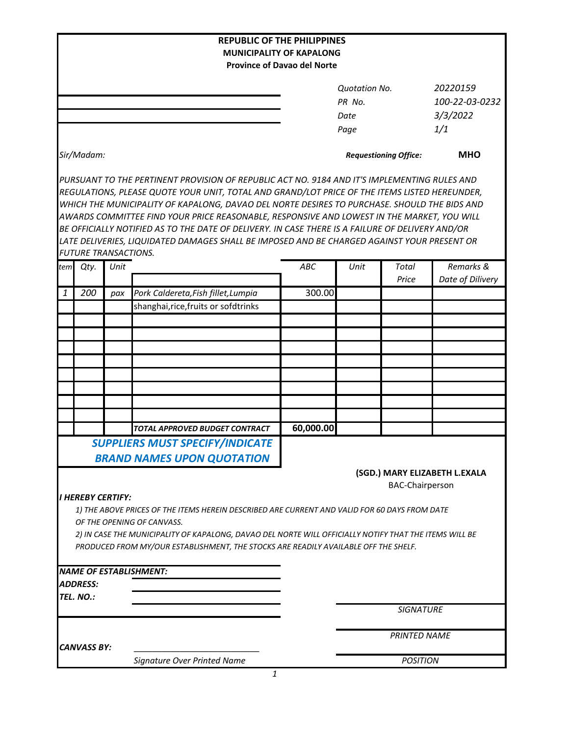|              |                             |      | <b>REPUBLIC OF THE PHILIPPINES</b>                                                                     |           |                              |                        |                               |
|--------------|-----------------------------|------|--------------------------------------------------------------------------------------------------------|-----------|------------------------------|------------------------|-------------------------------|
|              |                             |      | <b>MUNICIPALITY OF KAPALONG</b><br><b>Province of Davao del Norte</b>                                  |           |                              |                        |                               |
|              |                             |      |                                                                                                        |           |                              |                        |                               |
|              |                             |      |                                                                                                        |           | <b>Quotation No.</b>         |                        | 20220159                      |
|              |                             |      |                                                                                                        |           | PR No.                       |                        | 100-22-03-0232                |
|              |                             |      |                                                                                                        |           | Date                         |                        | 3/3/2022                      |
|              |                             |      |                                                                                                        |           | Page                         |                        | 1/1                           |
| Sir/Madam:   |                             |      |                                                                                                        |           | <b>Requestioning Office:</b> |                        | <b>MHO</b>                    |
|              |                             |      | PURSUANT TO THE PERTINENT PROVISION OF REPUBLIC ACT NO. 9184 AND IT'S IMPLEMENTING RULES AND           |           |                              |                        |                               |
|              |                             |      | REGULATIONS, PLEASE QUOTE YOUR UNIT, TOTAL AND GRAND/LOT PRICE OF THE ITEMS LISTED HEREUNDER,          |           |                              |                        |                               |
|              |                             |      | WHICH THE MUNICIPALITY OF KAPALONG, DAVAO DEL NORTE DESIRES TO PURCHASE. SHOULD THE BIDS AND           |           |                              |                        |                               |
|              |                             |      | AWARDS COMMITTEE FIND YOUR PRICE REASONABLE, RESPONSIVE AND LOWEST IN THE MARKET, YOU WILL             |           |                              |                        |                               |
|              |                             |      | BE OFFICIALLY NOTIFIED AS TO THE DATE OF DELIVERY. IN CASE THERE IS A FAILURE OF DELIVERY AND/OR       |           |                              |                        |                               |
|              |                             |      | LATE DELIVERIES, LIQUIDATED DAMAGES SHALL BE IMPOSED AND BE CHARGED AGAINST YOUR PRESENT OR            |           |                              |                        |                               |
|              | <b>FUTURE TRANSACTIONS.</b> |      |                                                                                                        |           |                              |                        |                               |
| tem          | Qty.                        | Unit |                                                                                                        | ABC       | Unit                         | <b>Total</b>           | Remarks &                     |
|              |                             |      |                                                                                                        |           |                              | Price                  | Date of Dilivery              |
| $\mathbf{1}$ | 200                         | pax  | Pork Caldereta, Fish fillet, Lumpia                                                                    | 300.00    |                              |                        |                               |
|              |                             |      | shanghai, rice, fruits or sofdtrinks                                                                   |           |                              |                        |                               |
|              |                             |      |                                                                                                        |           |                              |                        |                               |
|              |                             |      |                                                                                                        |           |                              |                        |                               |
|              |                             |      |                                                                                                        |           |                              |                        |                               |
|              |                             |      |                                                                                                        |           |                              |                        |                               |
|              |                             |      |                                                                                                        |           |                              |                        |                               |
|              |                             |      |                                                                                                        |           |                              |                        |                               |
|              |                             |      |                                                                                                        |           |                              |                        |                               |
|              |                             |      |                                                                                                        |           |                              |                        |                               |
|              |                             |      | TOTAL APPROVED BUDGET CONTRACT                                                                         | 60,000.00 |                              |                        |                               |
|              |                             |      | <b>SUPPLIERS MUST SPECIFY/INDICATE</b>                                                                 |           |                              |                        |                               |
|              |                             |      | <b>BRAND NAMES UPON QUOTATION</b>                                                                      |           |                              |                        |                               |
|              |                             |      |                                                                                                        |           |                              |                        | (SGD.) MARY ELIZABETH L.EXALA |
|              |                             |      |                                                                                                        |           |                              | <b>BAC-Chairperson</b> |                               |
|              | I HEREBY CERTIFY:           |      |                                                                                                        |           |                              |                        |                               |
|              |                             |      | 1) THE ABOVE PRICES OF THE ITEMS HEREIN DESCRIBED ARE CURRENT AND VALID FOR 60 DAYS FROM DATE          |           |                              |                        |                               |
|              |                             |      | OF THE OPENING OF CANVASS.                                                                             |           |                              |                        |                               |
|              |                             |      | 2) IN CASE THE MUNICIPALITY OF KAPALONG, DAVAO DEL NORTE WILL OFFICIALLY NOTIFY THAT THE ITEMS WILL BE |           |                              |                        |                               |
|              |                             |      | PRODUCED FROM MY/OUR ESTABLISHMENT, THE STOCKS ARE READILY AVAILABLE OFF THE SHELF.                    |           |                              |                        |                               |
|              |                             |      | <b>NAME OF ESTABLISHMENT:</b>                                                                          |           |                              |                        |                               |
|              | <b>ADDRESS:</b>             |      |                                                                                                        |           |                              |                        |                               |
|              | TEL. NO.:                   |      |                                                                                                        |           |                              |                        |                               |
|              |                             |      |                                                                                                        |           |                              | <b>SIGNATURE</b>       |                               |
|              |                             |      |                                                                                                        |           |                              |                        |                               |
|              | <b>CANVASS BY:</b>          |      |                                                                                                        |           |                              | <b>PRINTED NAME</b>    |                               |
|              |                             |      | Signature Over Printed Name                                                                            |           |                              | <b>POSITION</b>        |                               |

*1*